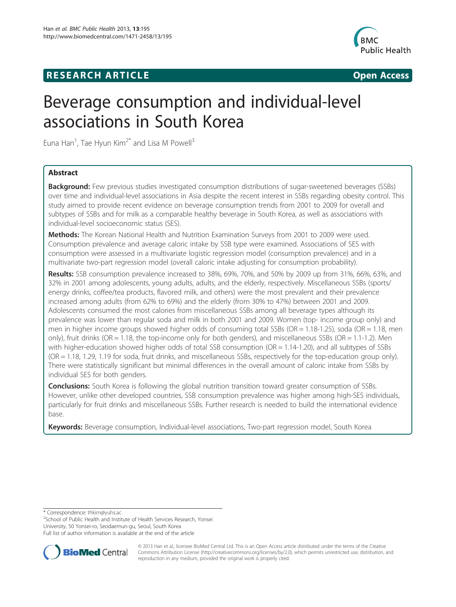## **RESEARCH ARTICLE Example 2014 12:30 The SEAR CH ACCESS**



# Beverage consumption and individual-level associations in South Korea

Euna Han<sup>1</sup>, Tae Hyun Kim<sup>2\*</sup> and Lisa M Powell<sup>3</sup>

## Abstract

**Background:** Few previous studies investigated consumption distributions of sugar-sweetened beverages (SSBs) over time and individual-level associations in Asia despite the recent interest in SSBs regarding obesity control. This study aimed to provide recent evidence on beverage consumption trends from 2001 to 2009 for overall and subtypes of SSBs and for milk as a comparable healthy beverage in South Korea, as well as associations with individual-level socioeconomic status (SES).

Methods: The Korean National Health and Nutrition Examination Surveys from 2001 to 2009 were used. Consumption prevalence and average caloric intake by SSB type were examined. Associations of SES with consumption were assessed in a multivariate logistic regression model (consumption prevalence) and in a multivariate two-part regression model (overall caloric intake adjusting for consumption probability).

Results: SSB consumption prevalence increased to 38%, 69%, 70%, and 50% by 2009 up from 31%, 66%, 63%, and 32% in 2001 among adolescents, young adults, adults, and the elderly, respectively. Miscellaneous SSBs (sports/ energy drinks, coffee/tea products, flavored milk, and others) were the most prevalent and their prevalence increased among adults (from 62% to 69%) and the elderly (from 30% to 47%) between 2001 and 2009. Adolescents consumed the most calories from miscellaneous SSBs among all beverage types although its prevalence was lower than regular soda and milk in both 2001 and 2009. Women (top- income group only) and men in higher income groups showed higher odds of consuming total SSBs (OR = 1.18-1.25), soda (OR = 1.18, men only), fruit drinks (OR = 1.18, the top-income only for both genders), and miscellaneous SSBs (OR = 1.1-1.2). Men with higher-education showed higher odds of total SSB consumption (OR = 1.14-1.20), and all subtypes of SSBs (OR = 1.18, 1.29, 1.19 for soda, fruit drinks, and miscellaneous SSBs, respectively for the top-education group only). There were statistically significant but minimal differences in the overall amount of caloric intake from SSBs by individual SES for both genders.

**Conclusions:** South Korea is following the global nutrition transition toward greater consumption of SSBs. However, unlike other developed countries, SSB consumption prevalence was higher among high-SES individuals, particularly for fruit drinks and miscellaneous SSBs. Further research is needed to build the international evidence base.

Keywords: Beverage consumption, Individual-level associations, Two-part regression model, South Korea

\* Correspondence: [thkim@yuhs.ac](mailto:thkim@yuhs.ac) <sup>2</sup>

<sup>2</sup>School of Public Health and Institute of Health Services Research, Yonsei University, 50 Yonsei-ro, Seodaemun-gu, Seoul, South Korea

Full list of author information is available at the end of the article



© 2013 Han et al.; licensee BioMed Central Ltd. This is an Open Access article distributed under the terms of the Creative Commons Attribution License [\(http://creativecommons.org/licenses/by/2.0\)](http://creativecommons.org/licenses/by/2.0), which permits unrestricted use, distribution, and reproduction in any medium, provided the original work is properly cited.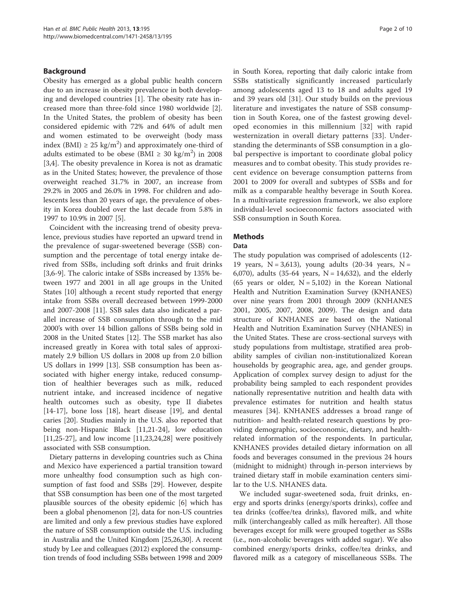## Background

Obesity has emerged as a global public health concern due to an increase in obesity prevalence in both developing and developed countries [\[1\]](#page-8-0). The obesity rate has increased more than three-fold since 1980 worldwide [\[2](#page-8-0)]. In the United States, the problem of obesity has been considered epidemic with 72% and 64% of adult men and women estimated to be overweight (body mass index (BMI)  $\geq 25 \text{ kg/m}^2$ ) and approximately one-third of adults estimated to be obese (BMI  $\geq 30 \text{ kg/m}^2$ ) in 2008 [[3,4\]](#page-8-0). The obesity prevalence in Korea is not as dramatic as in the United States; however, the prevalence of those overweight reached 31.7% in 2007, an increase from 29.2% in 2005 and 26.0% in 1998. For children and adolescents less than 20 years of age, the prevalence of obesity in Korea doubled over the last decade from 5.8% in 1997 to 10.9% in 2007 [[5\]](#page-9-0).

Coincident with the increasing trend of obesity prevalence, previous studies have reported an upward trend in the prevalence of sugar-sweetened beverage (SSB) consumption and the percentage of total energy intake derived from SSBs, including soft drinks and fruit drinks [[3,](#page-8-0)[6-9](#page-9-0)]. The caloric intake of SSBs increased by 135% between 1977 and 2001 in all age groups in the United States [\[10](#page-9-0)] although a recent study reported that energy intake from SSBs overall decreased between 1999-2000 and 2007-2008 [[11\]](#page-9-0). SSB sales data also indicated a parallel increase of SSB consumption through to the mid 2000's with over 14 billion gallons of SSBs being sold in 2008 in the United States [[12\]](#page-9-0). The SSB market has also increased greatly in Korea with total sales of approximately 2.9 billion US dollars in 2008 up from 2.0 billion US dollars in 1999 [\[13\]](#page-9-0). SSB consumption has been associated with higher energy intake, reduced consumption of healthier beverages such as milk, reduced nutrient intake, and increased incidence of negative health outcomes such as obesity, type II diabetes [[14-17](#page-9-0)], bone loss [[18\]](#page-9-0), heart disease [\[19\]](#page-9-0), and dental caries [[20](#page-9-0)]. Studies mainly in the U.S. also reported that being non-Hispanic Black [\[11,21-24](#page-9-0)], low education [[11,25-27\]](#page-9-0), and low income [\[11,23,24,28\]](#page-9-0) were positively associated with SSB consumption.

Dietary patterns in developing countries such as China and Mexico have experienced a partial transition toward more unhealthy food consumption such as high consumption of fast food and SSBs [[29\]](#page-9-0). However, despite that SSB consumption has been one of the most targeted plausible sources of the obesity epidemic [\[6](#page-9-0)] which has been a global phenomenon [\[2\]](#page-8-0), data for non-US countries are limited and only a few previous studies have explored the nature of SSB consumption outside the U.S. including in Australia and the United Kingdom [\[25,26,30](#page-9-0)]. A recent study by Lee and colleagues (2012) explored the consumption trends of food including SSBs between 1998 and 2009 in South Korea, reporting that daily caloric intake from SSBs statistically significantly increased particularly among adolescents aged 13 to 18 and adults aged 19 and 39 years old [\[31](#page-9-0)]. Our study builds on the previous literature and investigates the nature of SSB consumption in South Korea, one of the fastest growing developed economies in this millennium [[32\]](#page-9-0) with rapid westernization in overall dietary patterns [[33](#page-9-0)]. Understanding the determinants of SSB consumption in a global perspective is important to coordinate global policy measures and to combat obesity. This study provides recent evidence on beverage consumption patterns from 2001 to 2009 for overall and subtypes of SSBs and for milk as a comparable healthy beverage in South Korea. In a multivariate regression framework, we also explore individual-level socioeconomic factors associated with SSB consumption in South Korea.

## Methods

#### Data

The study population was comprised of adolescents (12- 19 years,  $N = 3,613$ , young adults (20-34 years,  $N =$ 6,070), adults (35-64 years,  $N = 14,632$ ), and the elderly (65 years or older,  $N = 5,102$ ) in the Korean National Health and Nutrition Examination Survey (KNHANES) over nine years from 2001 through 2009 (KNHANES 2001, 2005, 2007, 2008, 2009). The design and data structure of KNHANES are based on the National Health and Nutrition Examination Survey (NHANES) in the United States. These are cross-sectional surveys with study populations from multistage, stratified area probability samples of civilian non-institutionalized Korean households by geographic area, age, and gender groups. Application of complex survey design to adjust for the probability being sampled to each respondent provides nationally representative nutrition and health data with prevalence estimates for nutrition and health status measures [[34\]](#page-9-0). KNHANES addresses a broad range of nutrition- and health-related research questions by providing demographic, socioeconomic, dietary, and healthrelated information of the respondents. In particular, KNHANES provides detailed dietary information on all foods and beverages consumed in the previous 24 hours (midnight to midnight) through in-person interviews by trained dietary staff in mobile examination centers similar to the U.S. NHANES data.

We included sugar-sweetened soda, fruit drinks, energy and sports drinks (energy/sports drinks), coffee and tea drinks (coffee/tea drinks), flavored milk, and white milk (interchangeably called as milk hereafter). All those beverages except for milk were grouped together as SSBs (i.e., non-alcoholic beverages with added sugar). We also combined energy/sports drinks, coffee/tea drinks, and flavored milk as a category of miscellaneous SSBs. The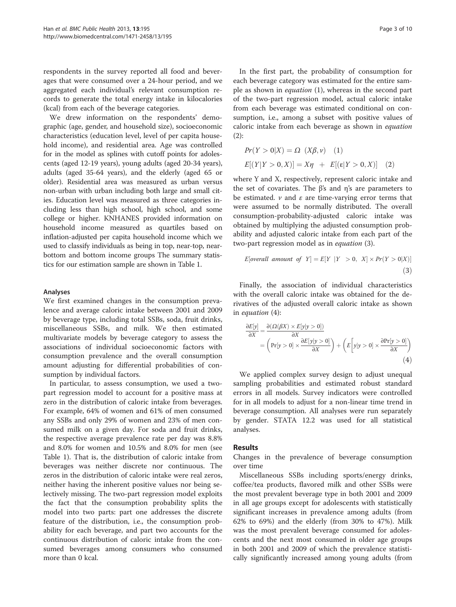respondents in the survey reported all food and beverages that were consumed over a 24-hour period, and we aggregated each individual's relevant consumption records to generate the total energy intake in kilocalories (kcal) from each of the beverage categories.

We drew information on the respondents' demographic (age, gender, and household size), socioeconomic characteristics (education level, level of per capita household income), and residential area. Age was controlled for in the model as splines with cutoff points for adolescents (aged 12-19 years), young adults (aged 20-34 years), adults (aged 35-64 years), and the elderly (aged 65 or older). Residential area was measured as urban versus non-urban with urban including both large and small cities. Education level was measured as three categories including less than high school, high school, and some college or higher. KNHANES provided information on household income measured as quartiles based on inflation-adjusted per capita household income which we used to classify individuals as being in top, near-top, nearbottom and bottom income groups The summary statistics for our estimation sample are shown in Table [1.](#page-3-0)

#### Analyses

We first examined changes in the consumption prevalence and average caloric intake between 2001 and 2009 by beverage type, including total SSBs, soda, fruit drinks, miscellaneous SSBs, and milk. We then estimated multivariate models by beverage category to assess the associations of individual socioeconomic factors with consumption prevalence and the overall consumption amount adjusting for differential probabilities of consumption by individual factors.

In particular, to assess consumption, we used a twopart regression model to account for a positive mass at zero in the distribution of caloric intake from beverages. For example, 64% of women and 61% of men consumed any SSBs and only 29% of women and 23% of men consumed milk on a given day. For soda and fruit drinks, the respective average prevalence rate per day was 8.8% and 8.0% for women and 10.5% and 8.0% for men (see Table [1](#page-3-0)). That is, the distribution of caloric intake from beverages was neither discrete nor continuous. The zeros in the distribution of caloric intake were real zeros, neither having the inherent positive values nor being selectively missing. The two-part regression model exploits the fact that the consumption probability splits the model into two parts: part one addresses the discrete feature of the distribution, i.e., the consumption probability for each beverage, and part two accounts for the continuous distribution of caloric intake from the consumed beverages among consumers who consumed more than 0 kcal.

In the first part, the probability of consumption for each beverage category was estimated for the entire sample as shown in *equation* (1), whereas in the second part of the two-part regression model, actual caloric intake from each beverage was estimated conditional on consumption, i.e., among a subset with positive values of caloric intake from each beverage as shown in equation (2):

$$
Pr(Y > 0|X) = \Omega \ (X\beta, v) \quad (1)
$$
  

$$
E[(Y|Y > 0, X)] = X\eta + E[(\varepsilon|Y > 0, X)] \quad (2)
$$

where Y and X, respectively, represent caloric intake and the set of covariates. The β's and η's are parameters to be estimated.  $\nu$  and  $\varepsilon$  are time-varying error terms that were assumed to be normally distributed. The overall consumption-probability-adjusted caloric intake was obtained by multiplying the adjusted consumption probability and adjusted caloric intake from each part of the two-part regression model as in equation (3).

$$
E[overall\ amount\ of\ Y] = E[Y \ |Y > 0,\ X] \times Pr(Y > 0|X)] \tag{3}
$$

Finally, the association of individual characteristics with the overall caloric intake was obtained for the derivatives of the adjusted overall caloric intake as shown in equation (4):

$$
\frac{\partial E[y]}{\partial X} = \frac{\partial (\Omega(\beta X) \times E[y|y > 0])}{\partial X} \n= \left( \Pr[y > 0] \times \frac{\partial E[y|y > 0]}{\partial X} \right) + \left( E\left[y|y > 0] \times \frac{\partial Pr[y > 0]}{\partial X} \right)
$$
\n(4)

We applied complex survey design to adjust unequal sampling probabilities and estimated robust standard errors in all models. Survey indicators were controlled for in all models to adjust for a non-linear time trend in beverage consumption. All analyses were run separately by gender. STATA 12.2 was used for all statistical analyses.

#### Results

Changes in the prevalence of beverage consumption over time

Miscellaneous SSBs including sports/energy drinks, coffee/tea products, flavored milk and other SSBs were the most prevalent beverage type in both 2001 and 2009 in all age groups except for adolescents with statistically significant increases in prevalence among adults (from 62% to 69%) and the elderly (from 30% to 47%). Milk was the most prevalent beverage consumed for adolescents and the next most consumed in older age groups in both 2001 and 2009 of which the prevalence statistically significantly increased among young adults (from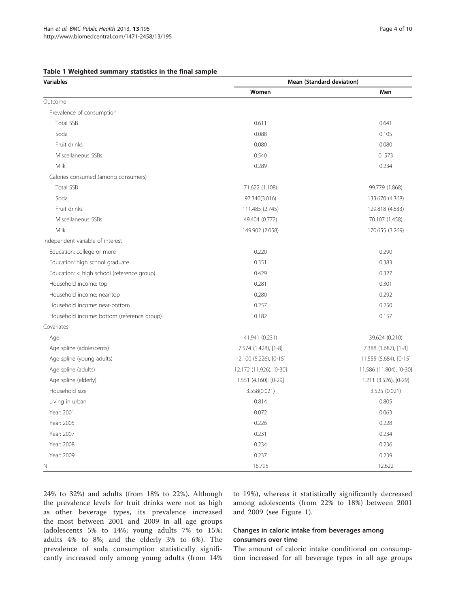<span id="page-3-0"></span>

|  | Table 1 Weighted summary statistics in the final sample |  |  |  |  |  |  |
|--|---------------------------------------------------------|--|--|--|--|--|--|
|--|---------------------------------------------------------|--|--|--|--|--|--|

| <b>Variables</b>                           | Mean (Standard deviation) |                         |  |  |
|--------------------------------------------|---------------------------|-------------------------|--|--|
|                                            | Women                     | Men                     |  |  |
| Outcome                                    |                           |                         |  |  |
| Prevalence of consumption                  |                           |                         |  |  |
| <b>Total SSB</b>                           | 0.611                     | 0.641                   |  |  |
| Soda                                       | 0.088                     | 0.105                   |  |  |
| Fruit drinks                               | 0.080                     | 0.080                   |  |  |
| Miscellaneous SSBs                         | 0.540                     | 0.573                   |  |  |
| Milk                                       | 0.289                     | 0.234                   |  |  |
| Calories consumed (among consumers)        |                           |                         |  |  |
| <b>Total SSB</b>                           | 71.622 (1.108)            | 99.779 (1.868)          |  |  |
| Soda                                       | 97.340(3.016)             | 133.670 (4.368)         |  |  |
| Fruit drinks                               | 111.485 (2.745)           | 129.818 (4.833)         |  |  |
| Miscellaneous SSBs                         | 49.404 (0.772)            | 70.107 (1.458)          |  |  |
| Milk                                       | 149.902 (2.058)           | 170.655 (3.269)         |  |  |
| Independent variable of interest           |                           |                         |  |  |
| Education: college or more                 | 0.220                     | 0.290                   |  |  |
| Education: high school graduate            | 0.351                     | 0.383                   |  |  |
| Education: < high school (reference group) | 0.429                     | 0.327                   |  |  |
| Household income: top                      | 0.281                     | 0.301                   |  |  |
| Household income: near-top                 | 0.280                     | 0.292                   |  |  |
| Household income: near-bottom              | 0.257                     | 0.250                   |  |  |
| Household income: bottom (reference group) | 0.182                     | 0.157                   |  |  |
| Covariates                                 |                           |                         |  |  |
| Age                                        | 41.941 (0.231)            | 39.624 (0.210)          |  |  |
| Age spline (adolescents)                   | 7.574 (1.428), [1-8]      | 7.388 (1.687), [1-8]    |  |  |
| Age spline (young adults)                  | 12.100 (5.226), [0-15]    | 11.555 (5.684), [0-15]  |  |  |
| Age spline (adults)                        | 12.172 (11.926), [0-30]   | 11.586 (11.804), [0-30] |  |  |
| Age spline (elderly)                       | 1.551 (4.160), [0-29]     | 1.211 (3.526), [0-29]   |  |  |
| Household size                             | 3.558(0.021)              | 3.525 (0.021)           |  |  |
| Living in urban                            | 0.814                     | 0.805                   |  |  |
| Year: 2001                                 | 0.072                     | 0.063                   |  |  |
| Year: 2005                                 | 0.226                     | 0.228                   |  |  |
| Year: 2007                                 | 0.231                     | 0.234                   |  |  |
| Year: 2008                                 | 0.234                     | 0.236                   |  |  |
| Year: 2009                                 | 0.237                     | 0.239                   |  |  |
| N                                          | 16,795                    | 12,622                  |  |  |

24% to 32%) and adults (from 18% to 22%). Although the prevalence levels for fruit drinks were not as high as other beverage types, its prevalence increased the most between 2001 and 2009 in all age groups (adolescents 5% to 14%; young adults 7% to 15%; adults 4% to 8%; and the elderly 3% to 6%). The prevalence of soda consumption statistically significantly increased only among young adults (from 14% to 19%), whereas it statistically significantly decreased among adolescents (from 22% to 18%) between 2001 and 2009 (see Figure [1](#page-4-0)).

## Changes in caloric intake from beverages among consumers over time

The amount of caloric intake conditional on consumption increased for all beverage types in all age groups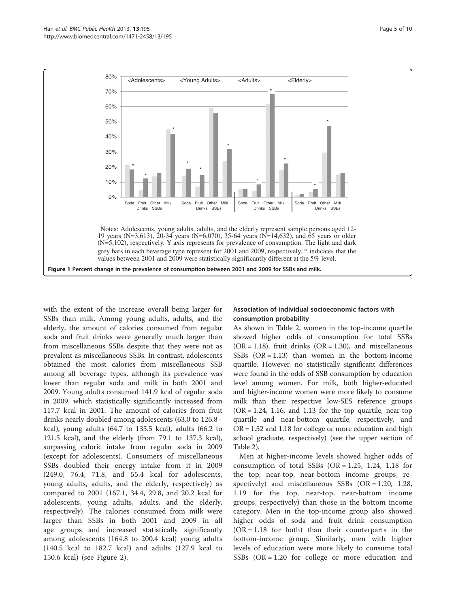<span id="page-4-0"></span>

with the extent of the increase overall being larger for SSBs than milk. Among young adults, adults, and the elderly, the amount of calories consumed from regular soda and fruit drinks were generally much larger than from miscellaneous SSBs despite that they were not as prevalent as miscellaneous SSBs. In contrast, adolescents obtained the most calories from miscellaneous SSB among all beverage types, although its prevalence was lower than regular soda and milk in both 2001 and 2009. Young adults consumed 141.9 kcal of regular soda in 2009, which statistically significantly increased from 117.7 kcal in 2001. The amount of calories from fruit drinks nearly doubled among adolescents (63.0 to 126.8 kcal), young adults (64.7 to 135.5 kcal), adults (66.2 to 121.5 kcal), and the elderly (from 79.1 to 137.3 kcal), surpassing caloric intake from regular soda in 2009 (except for adolescents). Consumers of miscellaneous SSBs doubled their energy intake from it in 2009 (249.0, 76.4, 71.8, and 55.4 kcal for adolescents, young adults, adults, and the elderly, respectively) as compared to 2001 (167.1, 34.4, 29.8, and 20.2 kcal for adolescents, young adults, adults, and the elderly, respectively). The calories consumed from milk were larger than SSBs in both 2001 and 2009 in all age groups and increased statistically significantly among adolescents (164.8 to 200.4 kcal) young adults (140.5 kcal to 182.7 kcal) and adults (127.9 kcal to 150.6 kcal) (see Figure [2\)](#page-5-0).

## Association of individual socioeconomic factors with consumption probability

As shown in Table [2,](#page-6-0) women in the top-income quartile showed higher odds of consumption for total SSBs  $(OR = 1.18)$ , fruit drinks  $(OR = 1.30)$ , and miscellaneous SSBs  $(OR = 1.13)$  than women in the bottom-income quartile. However, no statistically significant differences were found in the odds of SSB consumption by education level among women. For milk, both higher-educated and higher-income women were more likely to consume milk than their respective low-SES reference groups  $(OR = 1.24, 1.16, and 1.13$  for the top quartile, near-top quartile and near-bottom quartile, respectively, and OR = 1.52 and 1.18 for college or more education and high school graduate, respectively) (see the upper section of Table [2\)](#page-6-0).

Men at higher-income levels showed higher odds of consumption of total SSBs  $(OR = 1.25, 1.24, 1.18)$  for the top, near-top, near-bottom income groups, respectively) and miscellaneous SSBs (OR = 1.20, 1.28, 1.19 for the top, near-top, near-bottom income groups, respectively) than those in the bottom income category. Men in the top-income group also showed higher odds of soda and fruit drink consumption  $(OR = 1.18)$  for both) than their counterparts in the bottom-income group. Similarly, men with higher levels of education were more likely to consume total SSBs  $(OR = 1.20$  for college or more education and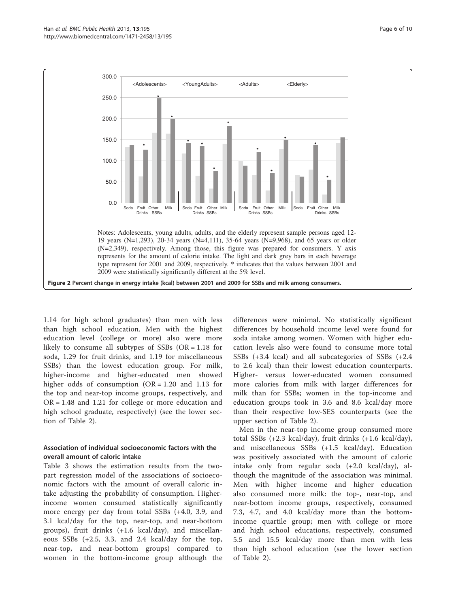<span id="page-5-0"></span>

1.14 for high school graduates) than men with less than high school education. Men with the highest education level (college or more) also were more likely to consume all subtypes of SSBs (OR = 1.18 for soda, 1.29 for fruit drinks, and 1.19 for miscellaneous SSBs) than the lowest education group. For milk, higher-income and higher-educated men showed higher odds of consumption  $(OR = 1.20$  and 1.13 for the top and near-top income groups, respectively, and OR = 1.48 and 1.21 for college or more education and high school graduate, respectively) (see the lower section of Table [2\)](#page-6-0).

## Association of individual socioeconomic factors with the overall amount of caloric intake

Table [3](#page-7-0) shows the estimation results from the twopart regression model of the associations of socioeconomic factors with the amount of overall caloric intake adjusting the probability of consumption. Higherincome women consumed statistically significantly more energy per day from total SSBs (+4.0, 3.9, and 3.1 kcal/day for the top, near-top, and near-bottom groups), fruit drinks (+1.6 kcal/day), and miscellaneous SSBs (+2.5, 3.3, and 2.4 kcal/day for the top, near-top, and near-bottom groups) compared to women in the bottom-income group although the

differences were minimal. No statistically significant differences by household income level were found for soda intake among women. Women with higher education levels also were found to consume more total SSBs (+3.4 kcal) and all subcategories of SSBs (+2.4 to 2.6 kcal) than their lowest education counterparts. Higher- versus lower-educated women consumed more calories from milk with larger differences for milk than for SSBs; women in the top-income and education groups took in 3.6 and 8.6 kcal/day more than their respective low-SES counterparts (see the upper section of Table [2\)](#page-6-0).

Men in the near-top income group consumed more total SSBs (+2.3 kcal/day), fruit drinks (+1.6 kcal/day), and miscellaneous SSBs (+1.5 kcal/day). Education was positively associated with the amount of caloric intake only from regular soda (+2.0 kcal/day), although the magnitude of the association was minimal. Men with higher income and higher education also consumed more milk: the top-, near-top, and near-bottom income groups, respectively, consumed 7.3, 4.7, and 4.0 kcal/day more than the bottomincome quartile group; men with college or more and high school educations, respectively, consumed 5.5 and 15.5 kcal/day more than men with less than high school education (see the lower section of Table [2](#page-6-0)).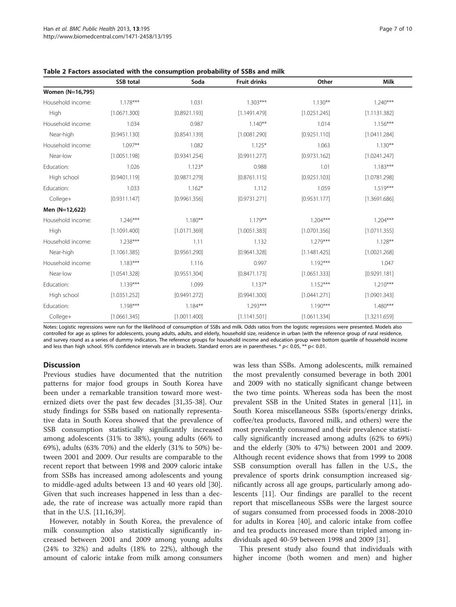|                   | <b>SSB</b> total | Soda         | <b>Fruit drinks</b> | Other        | Milk         |
|-------------------|------------------|--------------|---------------------|--------------|--------------|
| Women (N=16,795)  |                  |              |                     |              |              |
| Household income: | $1.178***$       | 1.031        | $1.303***$          | $1.130**$    | $1.240***$   |
| High              | [1.0671.300]     | [0.8921.193] | [1.1491.479]        | [1.0251.245] | [1.1131.382] |
| Household income: | 1.034            | 0.987        | $1.140***$          | 1.014        | $1.156***$   |
| Near-high         | [0.9451.130]     | [0.8541.139] | [1.0081.290]        | [0.9251.110] | [1.0411.284] |
| Household income: | $1.097**$        | 1.082        | $1.125*$            | 1.063        | $1.130***$   |
| Near-low          | [1.0051.198]     | [0.9341.254] | [0.9911.277]        | [0.9731.162] | [1.0241.247] |
| Education:        | 1.026            | $1.123*$     | 0.988               | 1.01         | $1.183***$   |
| High school       | [0.9401.119]     | [0.9871.279] | [0.8761.115]        | [0.9251.103] | [1.0781.298] |
| Education:        | 1.033            | $1.162*$     | 1.112               | 1.059        | $1.519***$   |
| College+          | [0.9311.147]     | [0.9961.356] | [0.9731.271]        | [0.9531.177] | [1.3691.686] |
| Men (N=12,622)    |                  |              |                     |              |              |
| Household income: | $1.246***$       | $1.180**$    | $1.179***$          | $1.204***$   | $1.204***$   |
| High              | [1.1091.400]     | [1.0171.369] | [1.0051.383]        | [1.0701.356] | [1.0711.355] |
| Household income: | $1.238***$       | 1.11         | 1.132               | $1.279***$   | $1.128**$    |
| Near-high         | [1.1061.385]     | [0.9561.290] | [0.9641.328]        | [1.1481.425] | [1.0021.268] |
| Household income: | $1.183***$       | 1.116        | 0.997               | $1.192***$   | 1.047        |
| Near-low          | [1.0541.328]     | [0.9551.304] | [0.8471.173]        | [1.0651.333] | [0.9291.181] |
| Education:        | $1.139***$       | 1.099        | $1.137*$            | $1.152***$   | $1.210***$   |
| High school       | [1.0351.252]     | [0.9491.272] | [0.9941.300]        | [1.0441.271] | [1.0901.343] |
| Education:        | $1.198***$       | $1.184***$   | $1.293***$          | $1.190***$   | $1.480***$   |
| College+          | [1.0661.345]     | [1.0011.400] | [1.1141.501]        | [1.0611.334] | [1.3211.659] |

<span id="page-6-0"></span>Table 2 Factors associated with the consumption probability of SSBs and milk

Notes: Logistic regressions were run for the likelihood of consumption of SSBs and milk. Odds ratios from the logistic regressions were presented. Models also controlled for age as splines for adolescents, young adults, adults, and elderly, household size, residence in urban (with the reference group of rural residence, and survey round as a series of dummy indicators. The reference groups for household income and education group were bottom quartile of household income and less than high school. 95% confidence intervals are in brackets. Standard errors are in parentheses. \*  $p$  < 0.05, \*\*  $p$  < 0.01.

## **Discussion**

Previous studies have documented that the nutrition patterns for major food groups in South Korea have been under a remarkable transition toward more westernized diets over the past few decades [\[31,35](#page-9-0)-[38\]](#page-9-0). Our study findings for SSBs based on nationally representative data in South Korea showed that the prevalence of SSB consumption statistically significantly increased among adolescents (31% to 38%), young adults (66% to 69%), adults (63% 70%) and the elderly (31% to 50%) between 2001 and 2009. Our results are comparable to the recent report that between 1998 and 2009 caloric intake from SSBs has increased among adolescents and young to middle-aged adults between 13 and 40 years old [\[30](#page-9-0)]. Given that such increases happened in less than a decade, the rate of increase was actually more rapid than that in the U.S. [\[11,16,39\]](#page-9-0).

However, notably in South Korea, the prevalence of milk consumption also statistically significantly increased between 2001 and 2009 among young adults (24% to 32%) and adults (18% to 22%), although the amount of caloric intake from milk among consumers was less than SSBs. Among adolescents, milk remained the most prevalently consumed beverage in both 2001 and 2009 with no statically significant change between the two time points. Whereas soda has been the most prevalent SSB in the United States in general [[11](#page-9-0)], in South Korea miscellaneous SSBs (sports/energy drinks, coffee/tea products, flavored milk, and others) were the most prevalently consumed and their prevalence statistically significantly increased among adults (62% to 69%) and the elderly (30% to 47%) between 2001 and 2009. Although recent evidence shows that from 1999 to 2008 SSB consumption overall has fallen in the U.S., the prevalence of sports drink consumption increased significantly across all age groups, particularly among adolescents [[11](#page-9-0)]. Our findings are parallel to the recent report that miscellaneous SSBs were the largest source of sugars consumed from processed foods in 2008-2010 for adults in Korea [\[40](#page-9-0)], and caloric intake from coffee and tea products increased more than tripled among individuals aged 40-59 between 1998 and 2009 [[31](#page-9-0)].

This present study also found that individuals with higher income (both women and men) and higher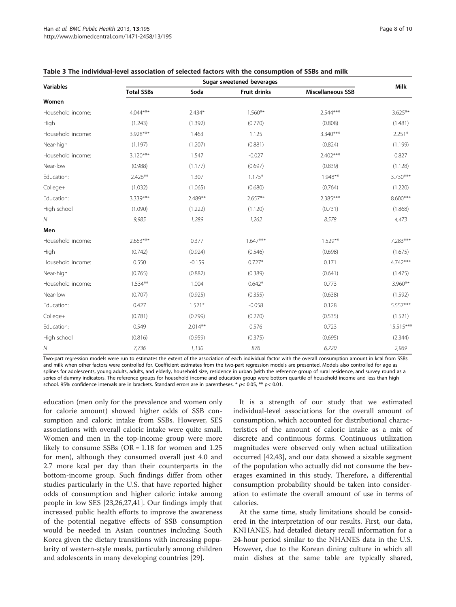| <b>Variables</b>  | Sugar sweetened beverages |           |                     |                          |             |
|-------------------|---------------------------|-----------|---------------------|--------------------------|-------------|
|                   | <b>Total SSBs</b>         | Soda      | <b>Fruit drinks</b> | <b>Miscellaneous SSB</b> | <b>Milk</b> |
| Women             |                           |           |                     |                          |             |
| Household income: | $4.044***$                | $2.434*$  | $1.560**$           | $2.544***$               | $3.625**$   |
| High              | (1.243)                   | (1.392)   | (0.770)             | (0.808)                  | (1.481)     |
| Household income: | 3.928***                  | 1.463     | 1.125               | $3.340***$               | $2.251*$    |
| Near-high         | (1.197)                   | (1.207)   | (0.881)             | (0.824)                  | (1.199)     |
| Household income: | $3.120***$                | 1.547     | $-0.027$            | $2.402***$               | 0.827       |
| Near-low          | (0.988)                   | (1.177)   | (0.697)             | (0.839)                  | (1.128)     |
| Education:        | $2.426**$                 | 1.307     | $1.175*$            | $1.948**$                | 3.730***    |
| College+          | (1.032)                   | (1.065)   | (0.680)             | (0.764)                  | (1.220)     |
| Education:        | 3.339***                  | 2.489**   | $2.657**$           | $2.385***$               | 8.600***    |
| High school       | (1.090)                   | (1.222)   | (1.120)             | (0.731)                  | (1.868)     |
| ${\cal N}$        | 9,985                     | 1,289     | 1,262               | 8,578                    | 4,473       |
| Men               |                           |           |                     |                          |             |
| Household income: | $2.663***$                | 0.377     | $1.647***$          | $1.529**$                | 7.283***    |
| High              | (0.742)                   | (0.924)   | (0.546)             | (0.698)                  | (1.675)     |
| Household income: | 0.550                     | $-0.159$  | $0.727*$            | 0.171                    | 4.742***    |
| Near-high         | (0.765)                   | (0.882)   | (0.389)             | (0.641)                  | (1.475)     |
| Household income: | $1.534***$                | 1.004     | $0.642*$            | 0.773                    | 3.960**     |
| Near-low          | (0.707)                   | (0.925)   | (0.355)             | (0.638)                  | (1.592)     |
| Education:        | 0.427                     | $1.521*$  | $-0.058$            | 0.128                    | 5.557***    |
| College+          | (0.781)                   | (0.799)   | (0.270)             | (0.535)                  | (1.521)     |
| Education:        | 0.549                     | $2.014**$ | 0.576               | 0.723                    | $15.515***$ |
| High school       | (0.816)                   | (0.959)   | (0.375)             | (0.695)                  | (2.344)     |
| ${\cal N}$        | 7,736                     | 1,130     | 876                 | 6,720                    | 2,969       |

<span id="page-7-0"></span>

Two-part regression models were run to estimates the extent of the association of each individual factor with the overall consumption amount in kcal from SSBs and milk when other factors were controlled for. Coefficient estimates from the two-part regression models are presented. Models also controlled for age as splines for adolescents, young adults, adults, and elderly, household size, residence in urban (with the reference group of rural residence, and survey round as a series of dummy indicators. The reference groups for household income and education group were bottom quartile of household income and less than high school. 95% confidence intervals are in brackets. Standard errors are in parentheses.  $* p < 0.05$ ,  $** p < 0.01$ .

education (men only for the prevalence and women only for calorie amount) showed higher odds of SSB consumption and caloric intake from SSBs. However, SES associations with overall caloric intake were quite small. Women and men in the top-income group were more likely to consume SSBs ( $OR = 1.18$  for women and 1.25 for men), although they consumed overall just 4.0 and 2.7 more kcal per day than their counterparts in the bottom-income group. Such findings differ from other studies particularly in the U.S. that have reported higher odds of consumption and higher caloric intake among people in low SES [\[23,26,27,41\]](#page-9-0). Our findings imply that increased public health efforts to improve the awareness of the potential negative effects of SSB consumption would be needed in Asian countries including South Korea given the dietary transitions with increasing popularity of western-style meals, particularly among children and adolescents in many developing countries [[29](#page-9-0)].

It is a strength of our study that we estimated individual-level associations for the overall amount of consumption, which accounted for distributional characteristics of the amount of caloric intake as a mix of discrete and continuous forms. Continuous utilization magnitudes were observed only when actual utilization occurred [\[42,43\]](#page-9-0), and our data showed a sizable segment of the population who actually did not consume the beverages examined in this study. Therefore, a differential consumption probability should be taken into consideration to estimate the overall amount of use in terms of calories.

At the same time, study limitations should be considered in the interpretation of our results. First, our data, KNHANES, had detailed dietary recall information for a 24-hour period similar to the NHANES data in the U.S. However, due to the Korean dining culture in which all main dishes at the same table are typically shared,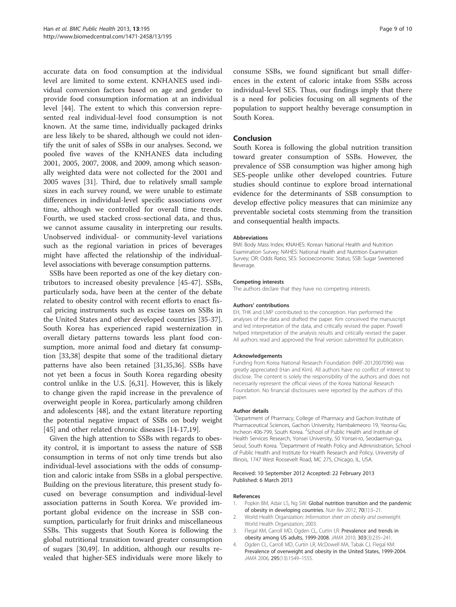<span id="page-8-0"></span>accurate data on food consumption at the individual level are limited to some extent. KNHANES used individual conversion factors based on age and gender to provide food consumption information at an individual level [\[44](#page-9-0)]. The extent to which this conversion represented real individual-level food consumption is not known. At the same time, individually packaged drinks are less likely to be shared, although we could not identify the unit of sales of SSBs in our analyses. Second, we pooled five waves of the KNHANES data including 2001, 2005, 2007, 2008, and 2009, among which seasonally weighted data were not collected for the 2001 and 2005 waves [[31](#page-9-0)]. Third, due to relatively small sample sizes in each survey round, we were unable to estimate differences in individual-level specific associations over time, although we controlled for overall time trends. Fourth, we used stacked cross-sectional data, and thus, we cannot assume causality in interpreting our results. Unobserved individual- or community-level variations such as the regional variation in prices of beverages might have affected the relationship of the individuallevel associations with beverage consumption patterns.

SSBs have been reported as one of the key dietary contributors to increased obesity prevalence [[45-47\]](#page-9-0). SSBs, particularly soda, have been at the center of the debate related to obesity control with recent efforts to enact fiscal pricing instruments such as excise taxes on SSBs in the United States and other developed countries [\[35-37](#page-9-0)]. South Korea has experienced rapid westernization in overall dietary patterns towards less plant food consumption, more animal food and dietary fat consumption [\[33,38\]](#page-9-0) despite that some of the traditional dietary patterns have also been retained [[31,35,36\]](#page-9-0). SSBs have not yet been a focus in South Korea regarding obesity control unlike in the U.S. [[6,31\]](#page-9-0). However, this is likely to change given the rapid increase in the prevalence of overweight people in Korea, particularly among children and adolescents [[48\]](#page-9-0), and the extant literature reporting the potential negative impact of SSBs on body weight [[45\]](#page-9-0) and other related chronic diseases [\[14](#page-9-0)-[17,19\]](#page-9-0).

Given the high attention to SSBs with regards to obesity control, it is important to assess the nature of SSB consumption in terms of not only time trends but also individual-level associations with the odds of consumption and caloric intake from SSBs in a global perspective. Building on the previous literature, this present study focused on beverage consumption and individual-level association patterns in South Korea. We provided important global evidence on the increase in SSB consumption, particularly for fruit drinks and miscellaneous SSBs. This suggests that South Korea is following the global nutritional transition toward greater consumption of sugars [[30,49\]](#page-9-0). In addition, although our results revealed that higher-SES individuals were more likely to consume SSBs, we found significant but small differences in the extent of caloric intake from SSBs across individual-level SES. Thus, our findings imply that there is a need for policies focusing on all segments of the population to support healthy beverage consumption in South Korea.

## Conclusion

South Korea is following the global nutrition transition toward greater consumption of SSBs. However, the prevalence of SSB consumption was higher among high SES-people unlike other developed countries. Future studies should continue to explore broad international evidence for the determinants of SSB consumption to develop effective policy measures that can minimize any preventable societal costs stemming from the transition and consequential health impacts.

#### Abbreviations

BMI: Body Mass Index; KNAHES: Korean National Health and Nutrition Examination Survey; NAHES: National Health and Nutrition Examination Survey; OR: Odds Ratio; SES: Socioeconomic Status; SSB: Sugar Sweetened Beverage.

#### Competing interests

The authors declare that they have no competing interests.

#### Authors' contributions

EH, THK and LMP contributed to the conception. Han performed the analyses of the data and drafted the paper. Kim conceived the manuscript and led interpretation of the data, and critically revised the paper. Powell helped interpretation of the analysis results and critically revised the paper. All authors read and approved the final version submitted for publication.

#### Acknowledgements

Funding from Korea National Research Foundation (NRF-2012007096) was greatly appreciated (Han and Kim). All authors have no conflict of interest to disclose. The content is solely the responsibility of the authors and does not necessarily represent the offıcial views of the Korea National Research Foundation. No fınancial disclosures were reported by the authors of this paper.

#### Author details

<sup>1</sup>Department of Pharmacy, College of Pharmacy and Gachon Institute of Pharmaceutical Sciences, Gachon University, Hambakmeoro 19, Yeonsu-Gu, Incheon 406-799, South Korea. <sup>2</sup>School of Public Health and Institute of Health Services Research, Yonsei University, 50 Yonsei-ro, Seodaemun-gu, Seoul, South Korea. <sup>3</sup> Department of Health Policy and Administration, School of Public Health and Institute for Health Research and Policy, University of Illinois, 1747 West Roosevelt Road, MC 275, Chicago, IL, USA.

#### Received: 10 September 2012 Accepted: 22 February 2013 Published: 6 March 2013

#### References

- 1. Popkin BM, Adair LS, Ng SW: Global nutrition transition and the pandemic of obesity in developing countries. Nutr Rev 2012, 70(1):3–21.
- 2. World Health Organization: Information sheet on obesity and overweight. World Health Organization; 2003.
- 3. Flegal KM, Carroll MD, Ogden CL, Curtin LR: Prevalence and trends in obesity among US adults, 1999-2008. JAMA 2010, 303(3):235–241.
- 4. Ogden CL, Carroll MD, Curtin LR, McDowell MA, Tabak CJ, Flegal KM: Prevalence of overweight and obesity in the United States, 1999-2004. JAMA 2006, 295(13):1549–1555.